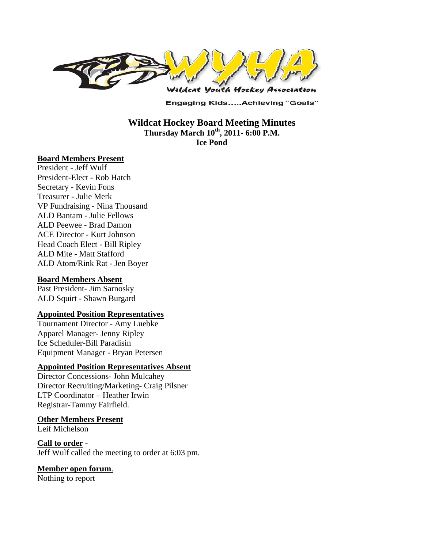

**Engaging Kids.....Achieving "Goals"** 

**Wildcat Hockey Board Meeting Minutes Thursday March 10th, 2011- 6:00 P.M. Ice Pond** 

#### **Board Members Present**

President - Jeff Wulf President-Elect - Rob Hatch Secretary - Kevin Fons Treasurer - Julie Merk VP Fundraising - Nina Thousand ALD Bantam - Julie Fellows ALD Peewee - Brad Damon ACE Director - Kurt Johnson Head Coach Elect - Bill Ripley ALD Mite - Matt Stafford ALD Atom/Rink Rat - Jen Boyer

### **Board Members Absent**

Past President- Jim Sarnosky ALD Squirt - Shawn Burgard

### **Appointed Position Representatives**

Tournament Director - Amy Luebke Apparel Manager- Jenny Ripley Ice Scheduler-Bill Paradisin Equipment Manager - Bryan Petersen

#### **Appointed Position Representatives Absent**

Director Concessions- John Mulcahey Director Recruiting/Marketing- Craig Pilsner LTP Coordinator – Heather Irwin Registrar-Tammy Fairfield.

#### **Other Members Present**

Leif Michelson

**Call to order** - Jeff Wulf called the meeting to order at 6:03 pm.

### **Member open forum**.

Nothing to report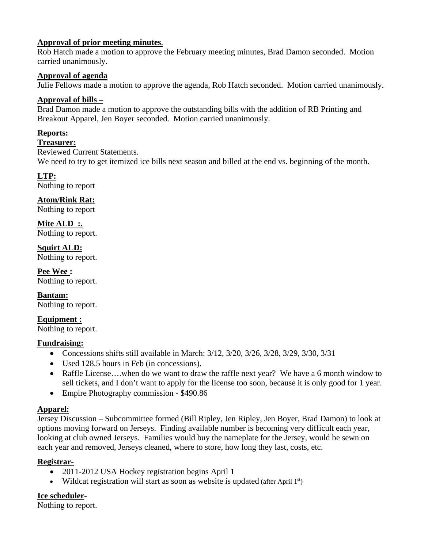## **Approval of prior meeting minutes**.

Rob Hatch made a motion to approve the February meeting minutes, Brad Damon seconded. Motion carried unanimously.

## **Approval of agenda**

Julie Fellows made a motion to approve the agenda, Rob Hatch seconded. Motion carried unanimously.

## **Approval of bills –**

Brad Damon made a motion to approve the outstanding bills with the addition of RB Printing and Breakout Apparel, Jen Boyer seconded. Motion carried unanimously.

## **Reports:**

## **Treasurer:**

Reviewed Current Statements.

We need to try to get itemized ice bills next season and billed at the end vs. beginning of the month.

# **LTP:**

Nothing to report

# **Atom/Rink Rat:**

Nothing to report

**Mite ALD :.**  Nothing to report.

**Squirt ALD:**  Nothing to report.

**Pee Wee :**  Nothing to report.

**Bantam:**  Nothing to report.

**Equipment :** 

Nothing to report.

## **Fundraising:**

- Concessions shifts still available in March:  $3/12$ ,  $3/20$ ,  $3/26$ ,  $3/28$ ,  $3/29$ ,  $3/30$ ,  $3/31$
- Used 128.5 hours in Feb (in concessions).
- Raffle License….when do we want to draw the raffle next year? We have a 6 month window to sell tickets, and I don't want to apply for the license too soon, because it is only good for 1 year.
- Empire Photography commission \$490.86

# **Apparel:**

Jersey Discussion – Subcommittee formed (Bill Ripley, Jen Ripley, Jen Boyer, Brad Damon) to look at options moving forward on Jerseys. Finding available number is becoming very difficult each year, looking at club owned Jerseys. Families would buy the nameplate for the Jersey, would be sewn on each year and removed, Jerseys cleaned, where to store, how long they last, costs, etc.

# **Registrar-**

- 2011-2012 USA Hockey registration begins April 1
- Wildcat registration will start as soon as website is updated (after April  $1<sup>st</sup>$ )

## **Ice scheduler-**

Nothing to report.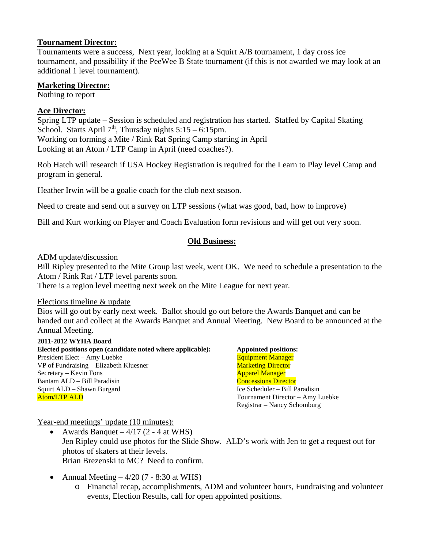### **Tournament Director:**

Tournaments were a success, Next year, looking at a Squirt A/B tournament, 1 day cross ice tournament, and possibility if the PeeWee B State tournament (if this is not awarded we may look at an additional 1 level tournament).

### **Marketing Director:**

Nothing to report

## **Ace Director:**

Spring LTP update – Session is scheduled and registration has started. Staffed by Capital Skating School. Starts April 7<sup>th</sup>, Thursday nights  $5:15 - 6:15$ pm. Working on forming a Mite / Rink Rat Spring Camp starting in April Looking at an Atom / LTP Camp in April (need coaches?).

Rob Hatch will research if USA Hockey Registration is required for the Learn to Play level Camp and program in general.

Heather Irwin will be a goalie coach for the club next season.

Need to create and send out a survey on LTP sessions (what was good, bad, how to improve)

Bill and Kurt working on Player and Coach Evaluation form revisions and will get out very soon.

## **Old Business:**

ADM update/discussion

Bill Ripley presented to the Mite Group last week, went OK. We need to schedule a presentation to the Atom / Rink Rat / LTP level parents soon.

There is a region level meeting next week on the Mite League for next year.

### Elections timeline & update

Bios will go out by early next week. Ballot should go out before the Awards Banquet and can be handed out and collect at the Awards Banquet and Annual Meeting. New Board to be announced at the Annual Meeting.

#### **2011-2012 WYHA Board**

Elected positions open (candidate noted where applicable): **Appointed positions:** President Elect – Amy Luebke Equipment Manager VP of Fundraising – Elizabeth Kluesner Marketing Director Secretary – Kevin Fons Apparel Manager Bantam ALD – Bill Paradisin Concessions Director Squirt ALD – Shawn Burgard **Ice Scheduler – Bill Paradisin** Atom/LTP ALD Tournament Director – Amy Luebke

Registrar – Nancy Schomburg

### Year-end meetings' update (10 minutes):

- Awards Banquet  $-4/17$  (2 4 at WHS) Jen Ripley could use photos for the Slide Show. ALD's work with Jen to get a request out for photos of skaters at their levels. Brian Brezenski to MC? Need to confirm.
- Annual Meeting  $-4/20$  (7 8:30 at WHS)
	- o Financial recap, accomplishments, ADM and volunteer hours, Fundraising and volunteer events, Election Results, call for open appointed positions.